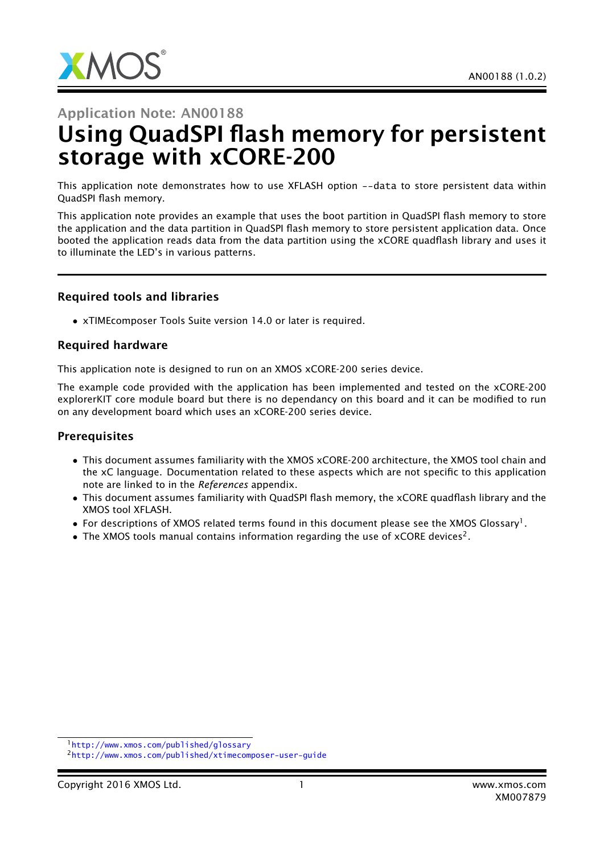

# Application Note: AN00188 Using QuadSPI flash memory for persistent storage with xCORE-200

This application note demonstrates how to use XFLASH option --data to store persistent data within QuadSPI flash memory.

This application note provides an example that uses the boot partition in QuadSPI flash memory to store the application and the data partition in QuadSPI flash memory to store persistent application data. Once booted the application reads data from the data partition using the xCORE quadflash library and uses it to illuminate the LED's in various patterns.

#### Required tools and libraries

• xTIMEcomposer Tools Suite version 14.0 or later is required.

#### Required hardware

This application note is designed to run on an XMOS xCORE-200 series device.

The example code provided with the application has been implemented and tested on the xCORE-200 explorerKIT core module board but there is no dependancy on this board and it can be modified to run on any development board which uses an xCORE-200 series device.

#### **Prerequisites**

- This document assumes familiarity with the XMOS xCORE-200 architecture, the XMOS tool chain and the xC language. Documentation related to these aspects which are not specific to this application note are linked to in the *References* appendix.
- This document assumes familiarity with QuadSPI flash memory, the xCORE quadflash library and the XMOS tool XFLASH.
- $\bullet$  For descriptions of XMOS related terms found in this document please see the XMOS Glossary<sup>1</sup>.
- The XMOS tools manual contains information regarding the use of xCORE devices<sup>2</sup>.

<sup>1</sup><http://www.xmos.com/published/glossary>

<sup>2</sup><http://www.xmos.com/published/xtimecomposer-user-guide>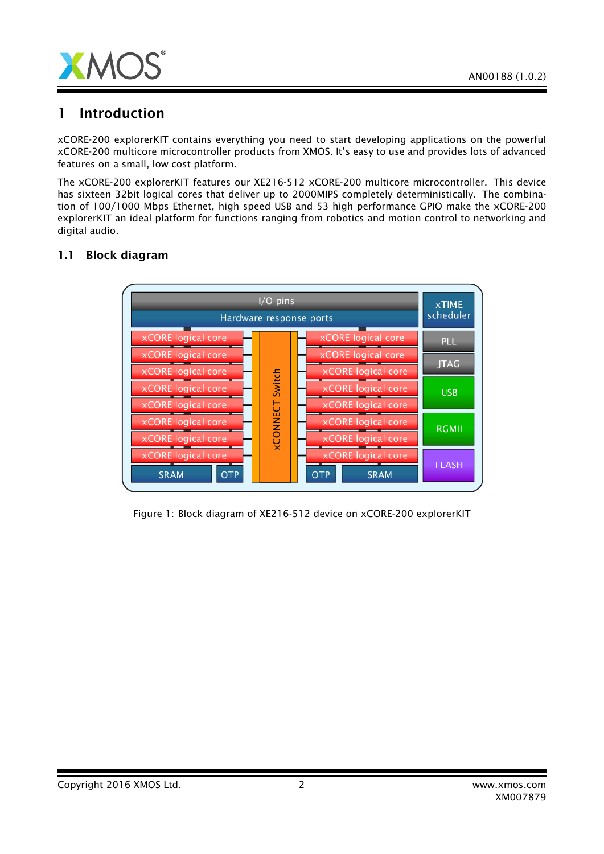

## 1 Introduction

xCORE-200 explorerKIT contains everything you need to start developing applications on the powerful xCORE-200 multicore microcontroller products from XMOS. It's easy to use and provides lots of advanced features on a small, low cost platform.

The xCORE-200 explorerKIT features our XE216-512 xCORE-200 multicore microcontroller. This device has sixteen 32bit logical cores that deliver up to 2000MIPS completely deterministically. The combination of 100/1000 Mbps Ethernet, high speed USB and 53 high performance GPIO make the xCORE-200 explorerKIT an ideal platform for functions ranging from robotics and motion control to networking and digital audio.

### 1.1 Block diagram



Figure 1: Block diagram of XE216-512 device on xCORE-200 explorerKIT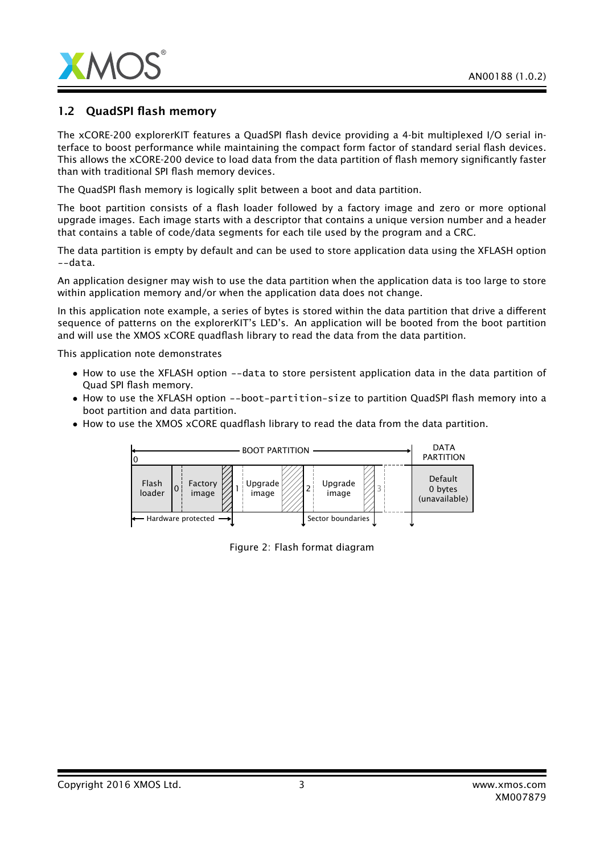

#### 1.2 QuadSPI flash memory

The xCORE-200 explorerKIT features a QuadSPI flash device providing a 4-bit multiplexed I/O serial interface to boost performance while maintaining the compact form factor of standard serial flash devices. This allows the xCORE-200 device to load data from the data partition of flash memory significantly faster than with traditional SPI flash memory devices.

The QuadSPI flash memory is logically split between a boot and data partition.

The boot partition consists of a flash loader followed by a factory image and zero or more optional upgrade images. Each image starts with a descriptor that contains a unique version number and a header that contains a table of code/data segments for each tile used by the program and a CRC.

The data partition is empty by default and can be used to store application data using the XFLASH option --data.

An application designer may wish to use the data partition when the application data is too large to store within application memory and/or when the application data does not change.

In this application note example, a series of bytes is stored within the data partition that drive a different sequence of patterns on the explorerKIT's LED's. An application will be booted from the boot partition and will use the XMOS xCORE quadflash library to read the data from the data partition.

This application note demonstrates

- How to use the XFLASH option --data to store persistent application data in the data partition of Quad SPI flash memory.
- How to use the XFLASH option --boot-partition-size to partition QuadSPI flash memory into a boot partition and data partition.
- How to use the XMOS xCORE quadflash library to read the data from the data partition.



Figure 2: Flash format diagram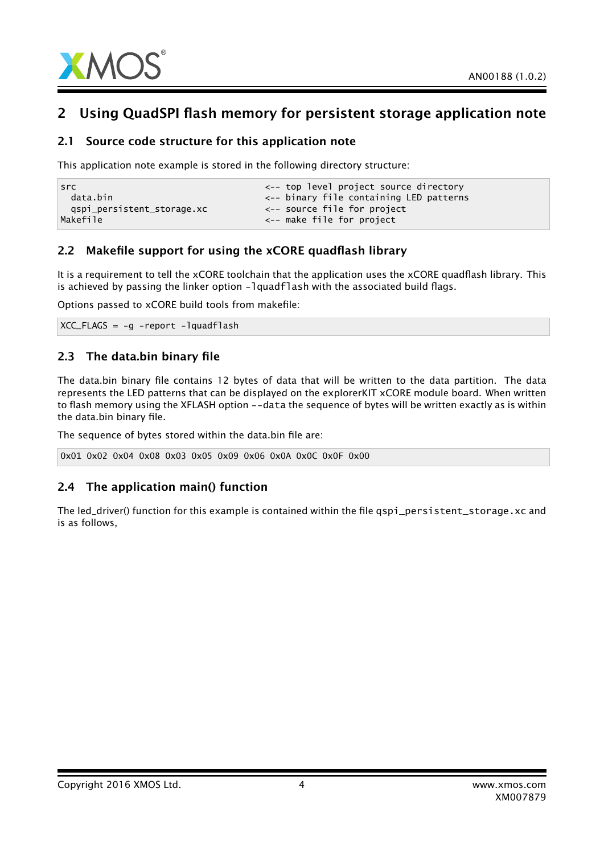

## 2 Using QuadSPI flash memory for persistent storage application note

#### 2.1 Source code structure for this application note

This application note example is stored in the following directory structure:

```
src extendion to the contract of the contract of the contract source directory
 data.bin <-- binary file containing LED patterns
 qspi_persistent_storage.xc <-- source file for project
Makefile <-- make file for project
```
#### 2.2 Makefile support for using the xCORE quadflash library

It is a requirement to tell the xCORE toolchain that the application uses the xCORE quadflash library. This is achieved by passing the linker option -lquadflash with the associated build flags.

Options passed to xCORE build tools from makefile:

XCC\_FLAGS = -g -report -lquadflash

### 2.3 The data.bin binary file

The data.bin binary file contains 12 bytes of data that will be written to the data partition. The data represents the LED patterns that can be displayed on the explorerKIT xCORE module board. When written to flash memory using the XFLASH option --data the sequence of bytes will be written exactly as is within the data.bin binary file.

The sequence of bytes stored within the data.bin file are:

```
0x01 0x02 0x04 0x08 0x03 0x05 0x09 0x06 0x0A 0x0C 0x0F 0x00
```
### 2.4 The application main() function

The led\_driver() function for this example is contained within the file qspi\_persistent\_storage.xc and is as follows,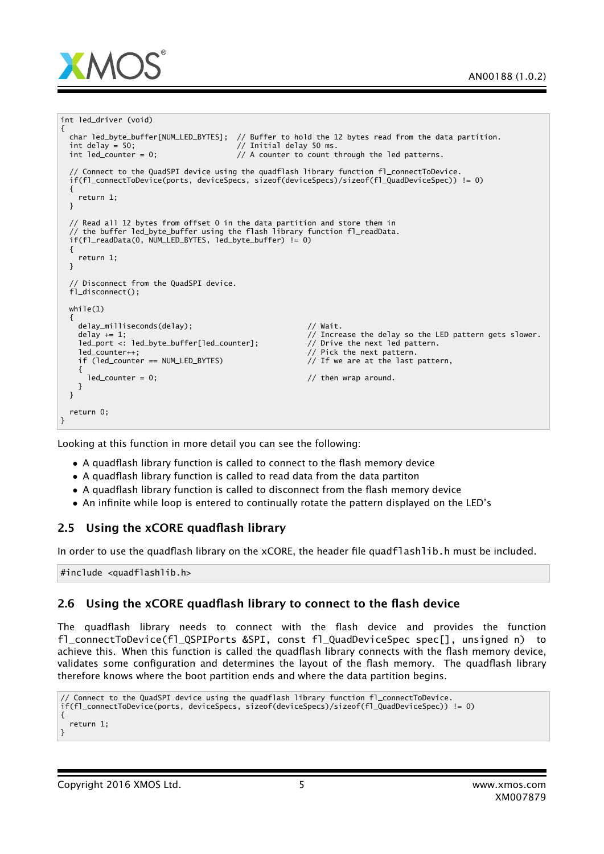

```
int led_driver (void)
{
  char led_byte_buffer[NUM_LED_BYTES]; // Buffer to hold the 12 bytes read from the data partition.
  int delay = 50; \frac{1}{100} int delay 50 ms.
 int led\_counter = 0; // A counter to count through the led patterns.// Connect to the QuadSPI device using the quadflash library function fl_connectToDevice.
 if(fl_connectToDevice(ports, deviceSpecs, sizeof(deviceSpecs)/sizeof(fl_QuadDeviceSpec)) != 0)
 {
   return 1;
 }
  // Read all 12 bytes from offset 0 in the data partition and store them in
  // the buffer led_byte_buffer using the flash library function fl_readData.
 if(fl_readData(0, NUM_LED_BYTES, led_byte_buffer) != 0)
 {
   return 1;
 }
  // Disconnect from the QuadSPI device.
 fl_disconnect();
 while(1){
   delay_milliseconds(delay); // Wait.
   delay += 1; // Increase the delay so the LED pattern gets slower.
   \text{led}_{\text{port}} \leq i \text{ led}_{\text{byte\_buffer}}[\text{led}_{\text{counter1}}; \text{led}_{\text{counter}}]led_counter++; // Pick the next pattern.
   if (led_counter == NUM_LED_BYTES) // If we are at the last pattern,
   {
     led\_counter = 0; // then wrap around.
   }
 }
 return 0;
}
```
Looking at this function in more detail you can see the following:

- A quadflash library function is called to connect to the flash memory device
- A quadflash library function is called to read data from the data partiton
- A quadflash library function is called to disconnect from the flash memory device
- An infinite while loop is entered to continually rotate the pattern displayed on the LED's

#### 2.5 Using the xCORE quadflash library

In order to use the quadflash library on the xCORE, the header file quadflashlib.h must be included.

#include <quadflashlib.h>

#### 2.6 Using the xCORE quadflash library to connect to the flash device

The quadflash library needs to connect with the flash device and provides the function fl\_connectToDevice(fl\_QSPIPorts &SPI, const fl\_QuadDeviceSpec spec[], unsigned n) to achieve this. When this function is called the quadflash library connects with the flash memory device, validates some configuration and determines the layout of the flash memory. The quadflash library therefore knows where the boot partition ends and where the data partition begins.

```
// Connect to the QuadSPI device using the quadflash library function fl_connectToDevice.
if(fl_connectToDevice(ports, deviceSpecs, sizeof(deviceSpecs)/sizeof(fl_QuadDeviceSpec)) != 0)
{
 return 1;
}
```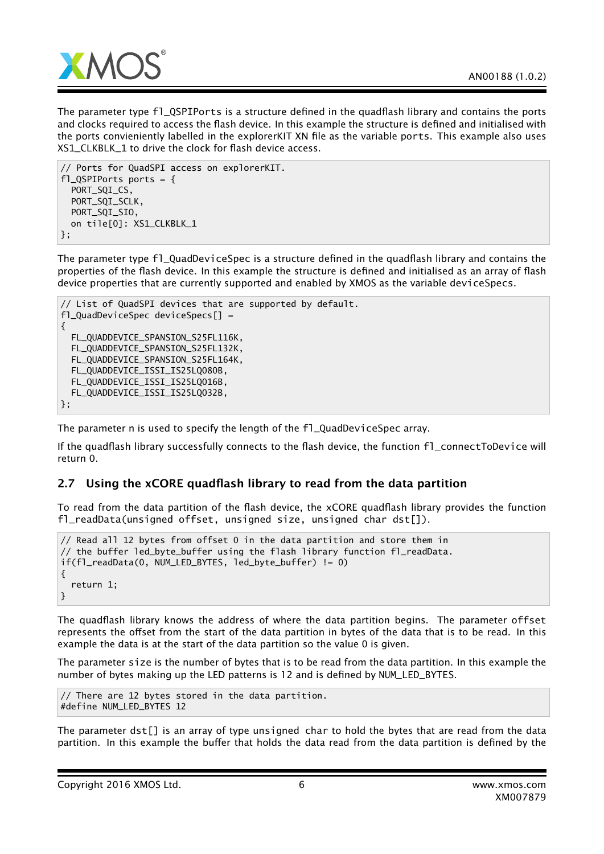

The parameter type fl\_QSPIPorts is a structure defined in the quadflash library and contains the ports and clocks required to access the flash device. In this example the structure is defined and initialised with the ports convieniently labelled in the explorerKIT XN file as the variable ports. This example also uses XS1\_CLKBLK\_1 to drive the clock for flash device access.

```
// Ports for QuadSPI access on explorerKIT.
f1_QSPIPorts ports = {
 PORT_SQI_CS,
 PORT_SQI_SCLK,
 PORT_SQI_SIO,
 on tile[0]: XS1_CLKBLK_1
};
```
The parameter type fl\_QuadDeviceSpec is a structure defined in the quadflash library and contains the properties of the flash device. In this example the structure is defined and initialised as an array of flash device properties that are currently supported and enabled by XMOS as the variable deviceSpecs.

```
// List of QuadSPI devices that are supported by default.
fl_QuadDeviceSpec deviceSpecs[] =
{
 FL_QUADDEVICE_SPANSION_S25FL116K,
 FL_QUADDEVICE_SPANSION_S25FL132K,
 FL_QUADDEVICE_SPANSION_S25FL164K,
 FL_QUADDEVICE_ISSI_IS25LQ080B,
 FL_QUADDEVICE_ISSI_IS25LQ016B,
 FL_QUADDEVICE_ISSI_IS25LQ032B,
};
```
The parameter n is used to specify the length of the fl\_QuadDeviceSpec array.

If the quadflash library successfully connects to the flash device, the function fl\_connectToDevice will return 0.

#### 2.7 Using the xCORE quadflash library to read from the data partition

To read from the data partition of the flash device, the xCORE quadflash library provides the function fl\_readData(unsigned offset, unsigned size, unsigned char dst[]).

```
// Read all 12 bytes from offset 0 in the data partition and store them in
// the buffer led_byte_buffer using the flash library function fl_readData.
if(fl_readData(0, NUM_LED_BYTES, led_byte_buffer) != 0)
{
  return 1;
}
```
The quadflash library knows the address of where the data partition begins. The parameter offset represents the offset from the start of the data partition in bytes of the data that is to be read. In this example the data is at the start of the data partition so the value 0 is given.

The parameter size is the number of bytes that is to be read from the data partition. In this example the number of bytes making up the LED patterns is 12 and is defined by NUM\_LED\_BYTES.

// There are 12 bytes stored in the data partition. #define NUM\_LED\_BYTES 12

The parameter dst[] is an array of type unsigned char to hold the bytes that are read from the data partition. In this example the buffer that holds the data read from the data partition is defined by the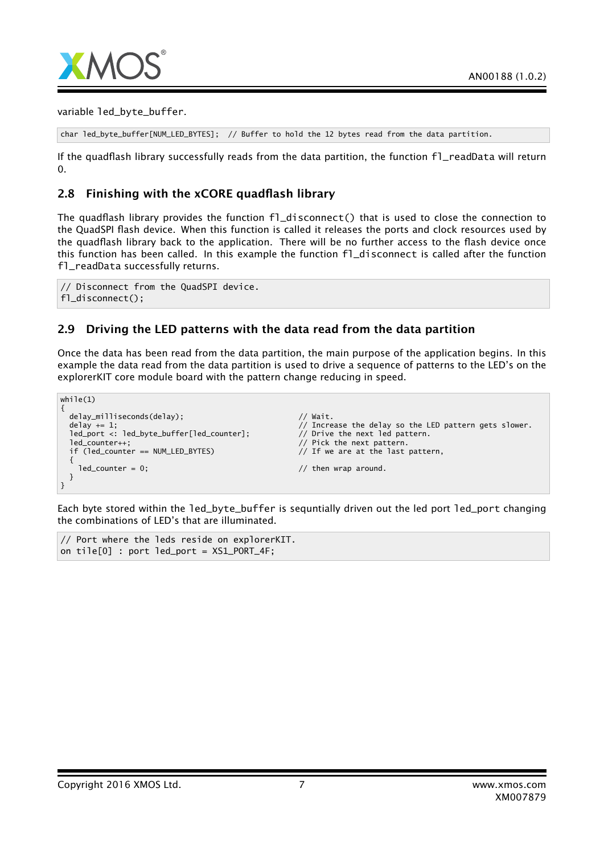

variable led\_byte\_buffer.

```
char led_byte_buffer[NUM_LED_BYTES]; // Buffer to hold the 12 bytes read from the data partition.
```
If the quadflash library successfully reads from the data partition, the function fl\_readData will return  $\Omega$ 

#### 2.8 Finishing with the xCORE quadflash library

The quadflash library provides the function fl\_disconnect() that is used to close the connection to the QuadSPI flash device. When this function is called it releases the ports and clock resources used by the quadflash library back to the application. There will be no further access to the flash device once this function has been called. In this example the function fl\_disconnect is called after the function fl\_readData successfully returns.

// Disconnect from the QuadSPI device. fl disconnect():

#### 2.9 Driving the LED patterns with the data read from the data partition

Once the data has been read from the data partition, the main purpose of the application begins. In this example the data read from the data partition is used to drive a sequence of patterns to the LED's on the explorerKIT core module board with the pattern change reducing in speed.

```
while(1){
  delay_milliseconds(delay);
  delay_milliseconds(delay);<br>delay += 1; // Increase the delay so the LED pattern gets slower.
  led_port <: led_byte_buffer[led_counter]; // Drive the next led pattern.<br>led counter++: // Pick the next nattern.
                                                                               1/ Pick the next pattern.
  if (led_counter == NUM_LED_BYTES) // If we are at the last pattern,
   {
     ledcounter = 0; \frac{1}{2} = 0; \frac{1}{2} = \frac{1}{2} = \frac{1}{2} = \frac{1}{2} = \frac{1}{2} = \frac{1}{2} = \frac{1}{2} = \frac{1}{2} = \frac{1}{2} = \frac{1}{2} = \frac{1}{2} = \frac{1}{2} = \frac{1}{2} = \frac{1}{2} = \frac{1}{2} = \frac{1}{2} 
  }
}
```
Each byte stored within the led\_byte\_buffer is sequntially driven out the led port led\_port changing the combinations of LED's that are illuminated.

// Port where the leds reside on explorerKIT. on tile $[0]$  : port led\_port =  $XSL_PORT_4F$ ;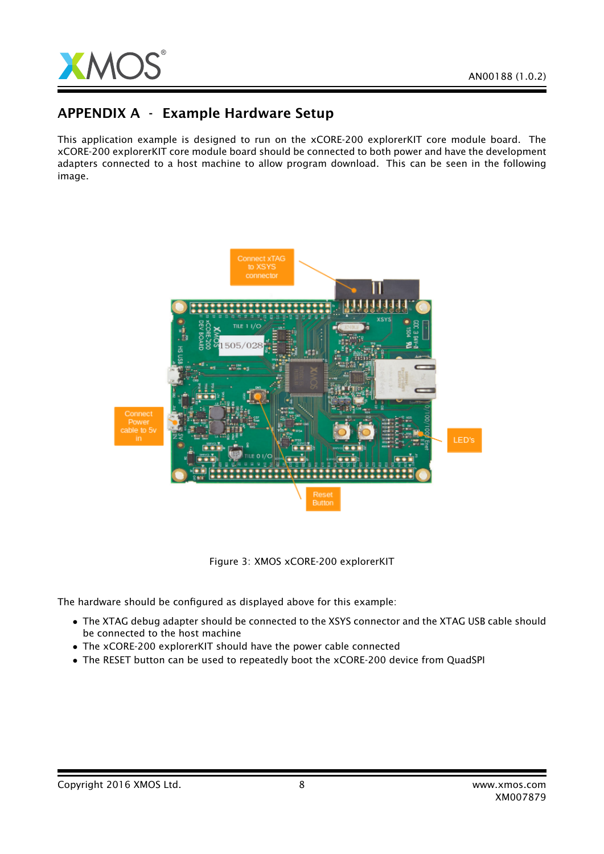## APPENDIX A - Example Hardware Setup

This application example is designed to run on the xCORE-200 explorerKIT core module board. The xCORE-200 explorerKIT core module board should be connected to both power and have the development adapters connected to a host machine to allow program download. This can be seen in the following image.



Figure 3: XMOS xCORE-200 explorerKIT

The hardware should be configured as displayed above for this example:

- The XTAG debug adapter should be connected to the XSYS connector and the XTAG USB cable should be connected to the host machine
- The xCORE-200 explorerKIT should have the power cable connected
- The RESET button can be used to repeatedly boot the xCORE-200 device from QuadSPI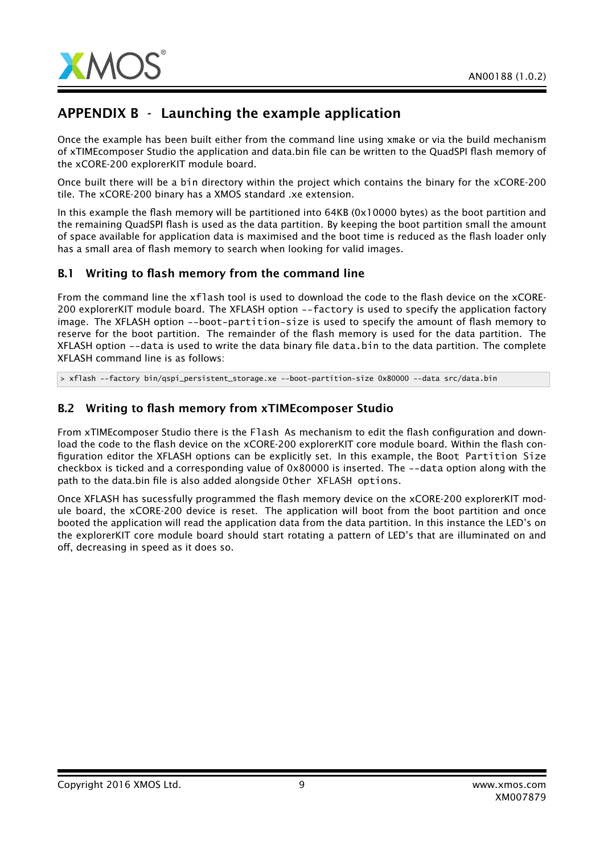

## APPENDIX B - Launching the example application

Once the example has been built either from the command line using xmake or via the build mechanism of xTIMEcomposer Studio the application and data.bin file can be written to the QuadSPI flash memory of the xCORE-200 explorerKIT module board.

Once built there will be a bin directory within the project which contains the binary for the xCORE-200 tile. The xCORE-200 binary has a XMOS standard .xe extension.

In this example the flash memory will be partitioned into 64KB (0x10000 bytes) as the boot partition and the remaining QuadSPI flash is used as the data partition. By keeping the boot partition small the amount of space available for application data is maximised and the boot time is reduced as the flash loader only has a small area of flash memory to search when looking for valid images.

#### B.1 Writing to flash memory from the command line

From the command line the xflash tool is used to download the code to the flash device on the xCORE-200 explorerKIT module board. The XFLASH option --factory is used to specify the application factory image. The XFLASH option --boot-partition-size is used to specify the amount of flash memory to reserve for the boot partition. The remainder of the flash memory is used for the data partition. The XFLASH option --data is used to write the data binary file data.bin to the data partition. The complete XFLASH command line is as follows:

> xflash --factory bin/qspi\_persistent\_storage.xe --boot-partition-size 0x80000 --data src/data.bin

### B.2 Writing to flash memory from xTIMEcomposer Studio

From xTIMEcomposer Studio there is the Flash As mechanism to edit the flash configuration and download the code to the flash device on the xCORE-200 explorerKIT core module board. Within the flash configuration editor the XFLASH options can be explicitly set. In this example, the Boot Partition Size checkbox is ticked and a corresponding value of 0x80000 is inserted. The --data option along with the path to the data.bin file is also added alongside Other XFLASH options.

Once XFLASH has sucessfully programmed the flash memory device on the xCORE-200 explorerKIT module board, the xCORE-200 device is reset. The application will boot from the boot partition and once booted the application will read the application data from the data partition. In this instance the LED's on the explorerKIT core module board should start rotating a pattern of LED's that are illuminated on and off, decreasing in speed as it does so.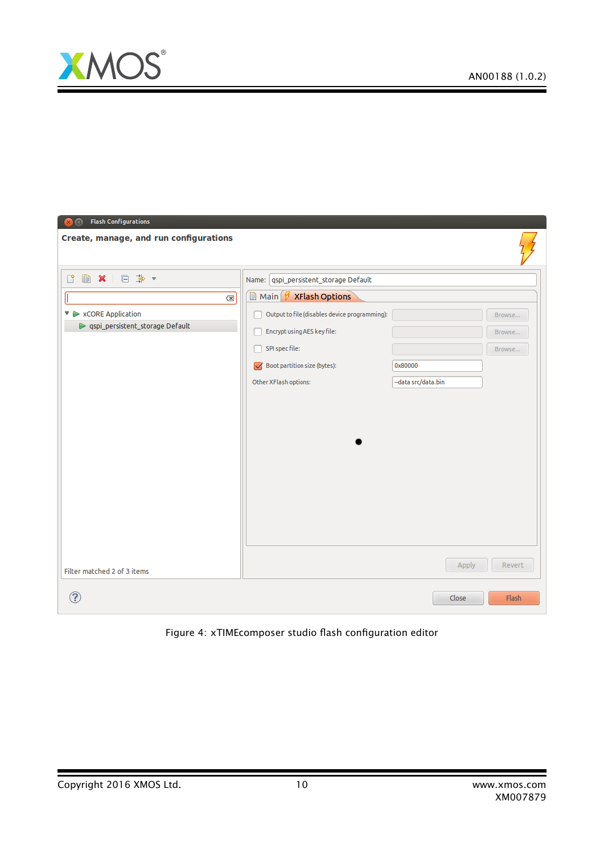

Ξ

| <b>Flash Configurations</b><br>⋒                       |                                               |                    |        |
|--------------------------------------------------------|-----------------------------------------------|--------------------|--------|
| Create, manage, and run configurations                 |                                               |                    |        |
|                                                        | Name:   qspi_persistent_storage Default       |                    |        |
| $\left\langle \mathbb{X}\right\rangle$                 | <b>■ Main Ø XFlash Options</b>                |                    |        |
| $\triangledown \triangleright \times$ CORE Application | Output to file (disables device programming): |                    | Browse |
| Sepi_persistent_storage Default                        | Encrypt using AES key file:                   |                    | Browse |
|                                                        | SPI spec file:                                |                    | Browse |
|                                                        | Boot partition size (bytes):                  | 0x80000            |        |
|                                                        | Other XFlash options:                         | -data src/data.bin |        |
|                                                        |                                               |                    |        |
|                                                        |                                               |                    |        |
|                                                        |                                               |                    |        |
|                                                        |                                               |                    |        |
|                                                        |                                               |                    |        |
|                                                        |                                               |                    |        |
|                                                        |                                               |                    |        |
|                                                        |                                               |                    |        |
|                                                        |                                               |                    |        |
|                                                        |                                               |                    |        |
| Filter matched 2 of 3 items                            |                                               | Apply              | Revert |
| ?                                                      |                                               | Close              | Flash  |

Figure 4: xTIMEcomposer studio flash configuration editor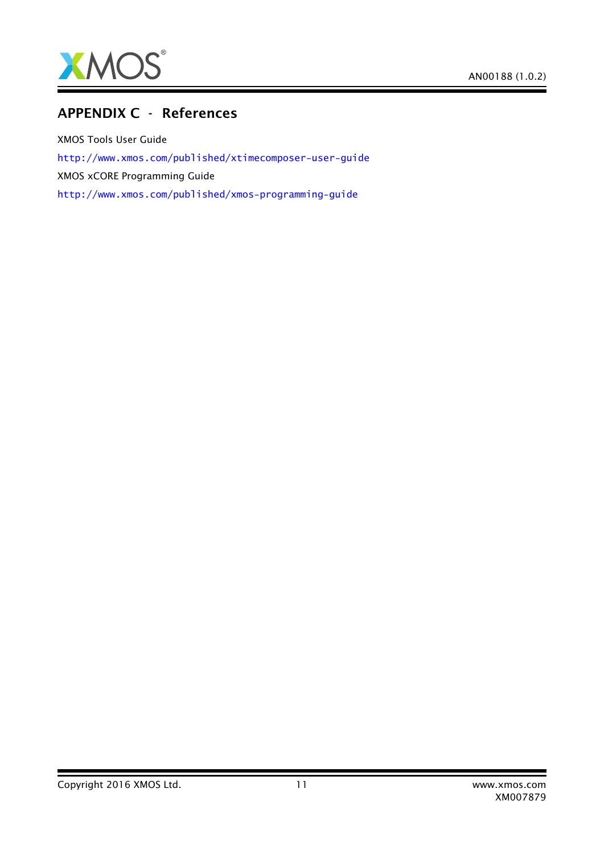

### APPENDIX C - References

XMOS Tools User Guide <http://www.xmos.com/published/xtimecomposer-user-guide> XMOS xCORE Programming Guide <http://www.xmos.com/published/xmos-programming-guide>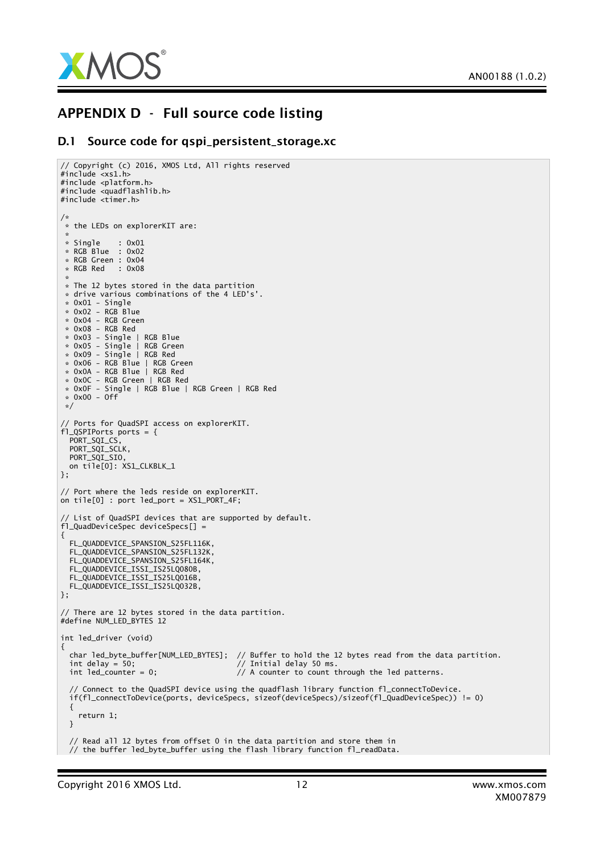

### APPENDIX D - Full source code listing

#### D.1 Source code for qspi\_persistent\_storage.xc

```
// Copyright (c) 2016, XMOS Ltd, All rights reserved
#inc1ude < xs1.h#include <platform.h>
#include <quadflashlib.h>
#include <timer.h>
/*
* the LEDs on explorerKIT are:
*
* Single : 0x01
* RGB Blue : 0x02
* RGB Green : 0x04
 * RGB Red : 0x08
 *
* The 12 bytes stored in the data partition
 * drive various combinations of the 4 LED's'.
 * 0x01 - Single
 * 0x02 - RGB Blue
 * 0x04 - RGB Green
 * 0x08 - RGB Red
* 0x03 - Single | RGB Blue
* 0x05 - Single | RGB Green
 * 0x09 - Single | RGB Red
 * 0x06 - RGB Blue | RGB Green
 * 0x0A - RGB Blue | RGB Red
 * 0x0C - RGB Green | RGB Red
 * 0x0F - Single | RGB Blue | RGB Green | RGB Red
 * 0x00 - Off
 */
// Ports for QuadSPI access on explorerKIT.
fl_QSPIPorts ports = {
 PORT_SQI_CS,
 PORT_SQI_SCLK,
 PORT_SQI_SIO,
 on tile[0]: XS1_CLKBLK_1
};
// Port where the leds reside on explorerKIT.
on tile[0] : port led_port = XS1_PORT_4F;
// List of QuadSPI devices that are supported by default.
f1 QuadDeviceSpec deviceSpecs[] =
{
 FL_OUADDEVICE_SPANSION_S25FL116K.
 FL_QUADDEVICE_SPANSION_S25FL132K,
 FL_QUADDEVICE_SPANSION_S25FL164K,
 FL_QUADDEVICE_ISSI_IS25LQ080B,
 FL_QUADDEVICE_ISSI_IS25LQ016B,
 FL_QUADDEVICE_ISSI_IS25LQ032B,
};
// There are 12 bytes stored in the data partition.
#define NUM_LED_BYTES 12
int led_driver (void)
{
  char led_byte_buffer[NUM_LED_BYTES]; // Buffer to hold the 12 bytes read from the data partition.
  int delay = 50; \sqrt{2} Initial delay 50 ms.
 int led_counter = 0; \frac{1}{4} A counter to count through the led patterns.
 // Connect to the QuadSPI device using the quadflash library function fl_connectToDevice.
 if(fl_connectToDevice(ports, deviceSpecs, sizeof(deviceSpecs)/sizeof(fl_QuadDeviceSpec)) != 0)
 {
   return 1;
 }
  // Read all 12 bytes from offset 0 in the data partition and store them in
  // the buffer led_byte_buffer using the flash library function fl_readData.
```